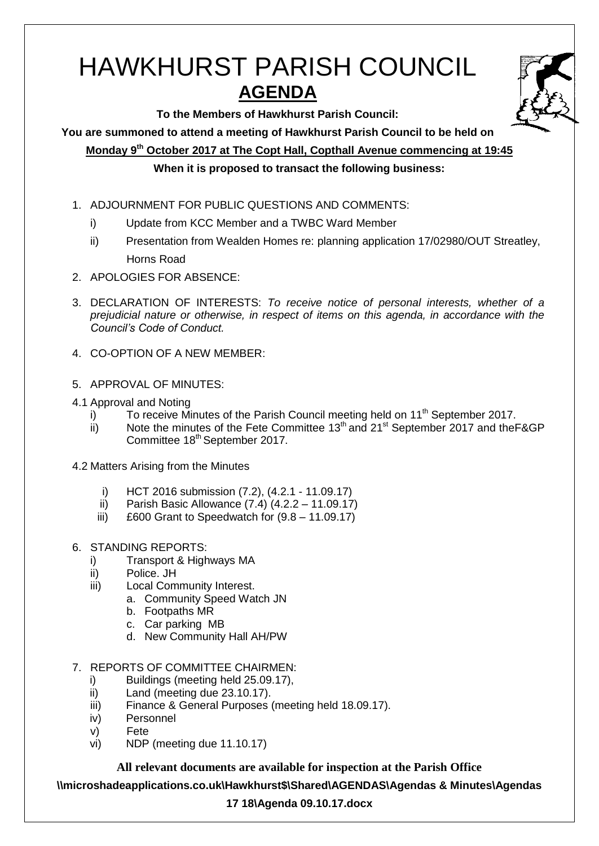# HAWKHURST PARISH COUNCIL **AGENDA**



**To the Members of Hawkhurst Parish Council:**

**You are summoned to attend a meeting of Hawkhurst Parish Council to be held on**

**Monday 9th October 2017 at The Copt Hall, Copthall Avenue commencing at 19:45**

## **When it is proposed to transact the following business:**

- 1. ADJOURNMENT FOR PUBLIC QUESTIONS AND COMMENTS:
	- i) Update from KCC Member and a TWBC Ward Member
	- ii) Presentation from Wealden Homes re: planning application 17/02980/OUT Streatley, Horns Road
- 2. APOLOGIES FOR ABSENCE:
- 3. DECLARATION OF INTERESTS: *To receive notice of personal interests, whether of a prejudicial nature or otherwise, in respect of items on this agenda, in accordance with the Council's Code of Conduct.*
- 4. CO-OPTION OF A NEW MEMBER:
- 5. APPROVAL OF MINUTES:
- 4.1 Approval and Noting
	- i) To receive Minutes of the Parish Council meeting held on  $11<sup>th</sup>$  September 2017.
	- ii) Note the minutes of the Fete Committee  $13<sup>th</sup>$  and  $21<sup>st</sup>$  September 2017 and the F&GP Committee 18<sup>th</sup> September 2017.
- 4.2 Matters Arising from the Minutes
	- i) HCT 2016 submission (7.2), (4.2.1 11.09.17)
	- ii) Parish Basic Allowance (7.4) (4.2.2 11.09.17)
	- iii)  $£600$  Grant to Speedwatch for  $(9.8 11.09.17)$
- 6. STANDING REPORTS:
	- i) Transport & Highways MA
	- ii) Police. JH
	- iii) Local Community Interest.
		- a. Community Speed Watch JN
		- b. Footpaths MR
		- c. Car parking MB
		- d. New Community Hall AH/PW
- 7. REPORTS OF COMMITTEE CHAIRMEN:
	- i) Buildings (meeting held 25.09.17),
	- ii) Land (meeting due 23.10.17).
	- iii) Finance & General Purposes (meeting held 18.09.17).
	- iv) Personnel
	- v) Fete
	- vi) NDP (meeting due 11.10.17)

**All relevant documents are available for inspection at the Parish Office**

**\\microshadeapplications.co.uk\Hawkhurst\$\Shared\AGENDAS\Agendas & Minutes\Agendas** 

## **17 18\Agenda 09.10.17.docx**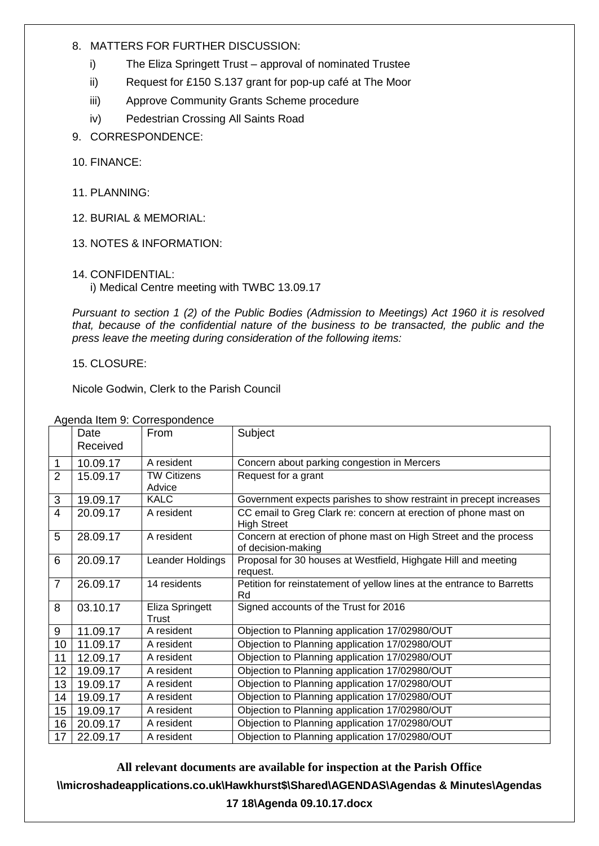#### 8. MATTERS FOR FURTHER DISCUSSION:

- i) The Eliza Springett Trust approval of nominated Trustee
- ii) Request for £150 S.137 grant for pop-up café at The Moor
- iii) Approve Community Grants Scheme procedure
- iv) Pedestrian Crossing All Saints Road
- 9. CORRESPONDENCE:
- 10. FINANCE:
- 11. PLANNING:
- 12. BURIAL & MEMORIAL:
- 13. NOTES & INFORMATION:

## 14. CONFIDENTIAL:

i) Medical Centre meeting with TWBC 13.09.17

*Pursuant to section 1 (2) of the Public Bodies (Admission to Meetings) Act 1960 it is resolved that, because of the confidential nature of the business to be transacted, the public and the press leave the meeting during consideration of the following items:*

#### 15. CLOSURE:

Nicole Godwin, Clerk to the Parish Council

|                | Date<br>Received | From                         | Subject                                                                                |  |
|----------------|------------------|------------------------------|----------------------------------------------------------------------------------------|--|
| 1              | 10.09.17         | A resident                   | Concern about parking congestion in Mercers                                            |  |
| $\overline{2}$ | 15.09.17         | <b>TW Citizens</b><br>Advice | Request for a grant                                                                    |  |
| 3              | 19.09.17         | <b>KALC</b>                  | Government expects parishes to show restraint in precept increases                     |  |
| 4              | 20.09.17         | A resident                   | CC email to Greg Clark re: concern at erection of phone mast on<br><b>High Street</b>  |  |
| 5              | 28.09.17         | A resident                   | Concern at erection of phone mast on High Street and the process<br>of decision-making |  |
| 6              | 20.09.17         | Leander Holdings             | Proposal for 30 houses at Westfield, Highgate Hill and meeting<br>request.             |  |
| $\overline{7}$ | 26.09.17         | 14 residents                 | Petition for reinstatement of yellow lines at the entrance to Barretts<br>Rd           |  |
| 8              | 03.10.17         | Eliza Springett<br>Trust     | Signed accounts of the Trust for 2016                                                  |  |
| 9              | 11.09.17         | A resident                   | Objection to Planning application 17/02980/OUT                                         |  |
| 10             | 11.09.17         | A resident                   | Objection to Planning application 17/02980/OUT                                         |  |
| 11             | 12.09.17         | A resident                   | Objection to Planning application 17/02980/OUT                                         |  |
| 12             | 19.09.17         | A resident                   | Objection to Planning application 17/02980/OUT                                         |  |
| 13             | 19.09.17         | A resident                   | Objection to Planning application 17/02980/OUT                                         |  |
| 14             | 19.09.17         | A resident                   | Objection to Planning application 17/02980/OUT                                         |  |
| 15             | 19.09.17         | A resident                   | Objection to Planning application 17/02980/OUT                                         |  |
| 16             | 20.09.17         | A resident                   | Objection to Planning application 17/02980/OUT                                         |  |
| 17             | 22.09.17         | A resident                   | Objection to Planning application 17/02980/OUT                                         |  |

Agenda Item 9: Correspondence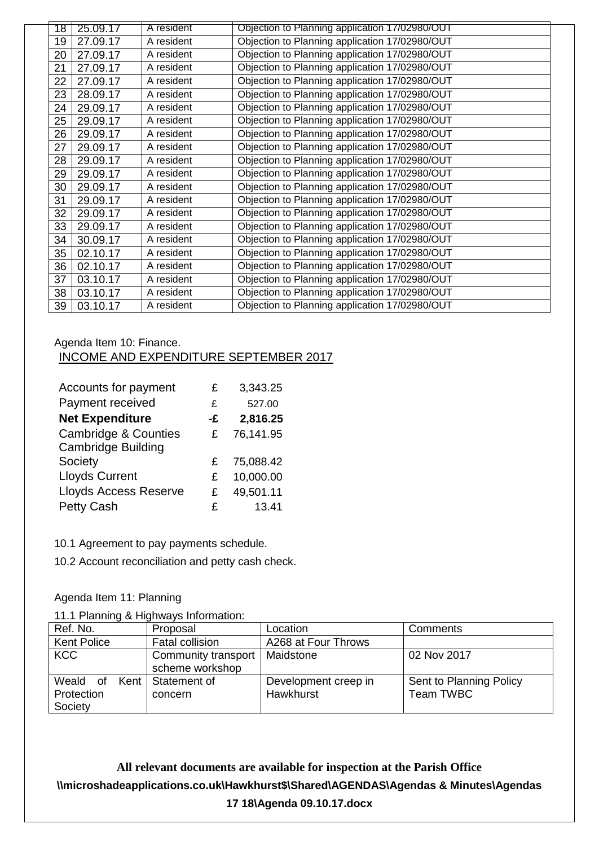| 18 | 25.09.17 | A resident | Objection to Planning application 17/02980/OUT |
|----|----------|------------|------------------------------------------------|
| 19 | 27.09.17 | A resident | Objection to Planning application 17/02980/OUT |
| 20 | 27.09.17 | A resident | Objection to Planning application 17/02980/OUT |
| 21 | 27.09.17 | A resident | Objection to Planning application 17/02980/OUT |
| 22 | 27.09.17 | A resident | Objection to Planning application 17/02980/OUT |
| 23 | 28.09.17 | A resident | Objection to Planning application 17/02980/OUT |
| 24 | 29.09.17 | A resident | Objection to Planning application 17/02980/OUT |
| 25 | 29.09.17 | A resident | Objection to Planning application 17/02980/OUT |
| 26 | 29.09.17 | A resident | Objection to Planning application 17/02980/OUT |
| 27 | 29.09.17 | A resident | Objection to Planning application 17/02980/OUT |
| 28 | 29.09.17 | A resident | Objection to Planning application 17/02980/OUT |
| 29 | 29.09.17 | A resident | Objection to Planning application 17/02980/OUT |
| 30 | 29.09.17 | A resident | Objection to Planning application 17/02980/OUT |
| 31 | 29.09.17 | A resident | Objection to Planning application 17/02980/OUT |
| 32 | 29.09.17 | A resident | Objection to Planning application 17/02980/OUT |
| 33 | 29.09.17 | A resident | Objection to Planning application 17/02980/OUT |
| 34 | 30.09.17 | A resident | Objection to Planning application 17/02980/OUT |
| 35 | 02.10.17 | A resident | Objection to Planning application 17/02980/OUT |
| 36 | 02.10.17 | A resident | Objection to Planning application 17/02980/OUT |
| 37 | 03.10.17 | A resident | Objection to Planning application 17/02980/OUT |
| 38 | 03.10.17 | A resident | Objection to Planning application 17/02980/OUT |
| 39 | 03.10.17 | A resident | Objection to Planning application 17/02980/OUT |

## Agenda Item 10: Finance. INCOME AND EXPENDITURE SEPTEMBER 2017

| Accounts for payment            | £  | 3,343.25  |
|---------------------------------|----|-----------|
| Payment received                | £  | 527.00    |
| <b>Net Expenditure</b>          | -£ | 2,816.25  |
| <b>Cambridge &amp; Counties</b> | £  | 76,141.95 |
| <b>Cambridge Building</b>       |    |           |
| Society                         | £  | 75,088.42 |
| <b>Lloyds Current</b>           | £  | 10,000.00 |
| <b>Lloyds Access Reserve</b>    | £  | 49,501.11 |
| <b>Petty Cash</b>               | £  | 13.41     |

10.1 Agreement to pay payments schedule.

10.2 Account reconciliation and petty cash check.

## Agenda Item 11: Planning

11.1 Planning & Highways Information:

| Ref. No.           | Proposal            | Location             | Comments                |
|--------------------|---------------------|----------------------|-------------------------|
| <b>Kent Police</b> | Fatal collision     | A268 at Four Throws  |                         |
| <b>KCC</b>         | Community transport | Maidstone            | 02 Nov 2017             |
|                    | scheme workshop     |                      |                         |
| Weald of           | Kent   Statement of | Development creep in | Sent to Planning Policy |
| Protection         | concern             | Hawkhurst            | Team TWBC               |
| Society            |                     |                      |                         |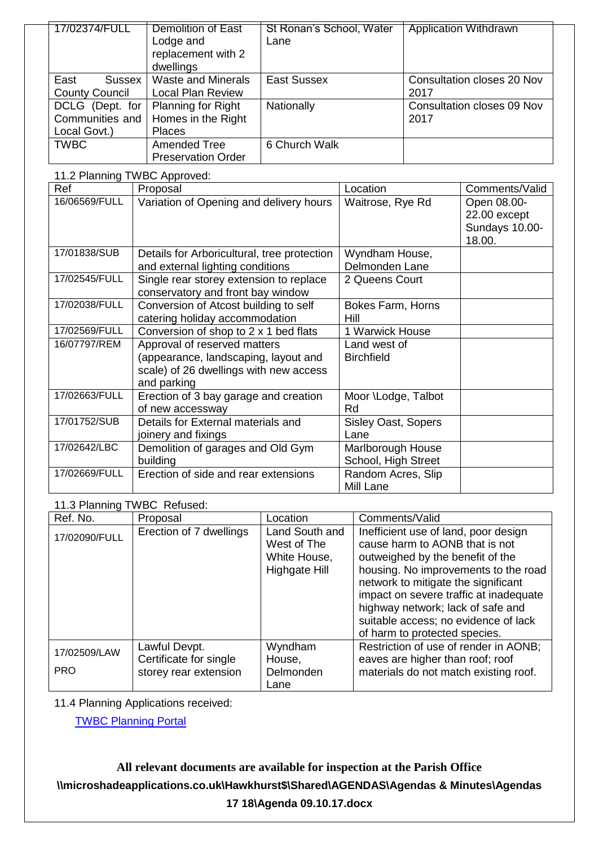| 17/02374/FULL         | <b>Demolition of East</b> | St Ronan's School, Water | <b>Application Withdrawn</b> |
|-----------------------|---------------------------|--------------------------|------------------------------|
|                       | Lodge and                 | Lane                     |                              |
|                       | replacement with 2        |                          |                              |
|                       | dwellings                 |                          |                              |
| East<br><b>Sussex</b> | <b>Waste and Minerals</b> | <b>East Sussex</b>       | Consultation closes 20 Nov   |
| <b>County Council</b> | <b>Local Plan Review</b>  |                          | 2017                         |
| DCLG (Dept. for       | Planning for Right        | Nationally               | Consultation closes 09 Nov   |
| Communities and       | Homes in the Right        |                          | 2017                         |
| Local Govt.)          | <b>Places</b>             |                          |                              |
| <b>TWBC</b>           | Amended Tree              | 6 Church Walk            |                              |
|                       | <b>Preservation Order</b> |                          |                              |

| 11.2 Planning TWBC Approved: |                                             |                            |                |  |
|------------------------------|---------------------------------------------|----------------------------|----------------|--|
| Ref                          | Proposal                                    | Location                   | Comments/Valid |  |
| 16/06569/FULL                | Variation of Opening and delivery hours     | Waitrose, Rye Rd           | Open 08.00-    |  |
|                              |                                             |                            | 22.00 except   |  |
|                              |                                             |                            | Sundays 10.00- |  |
|                              |                                             |                            | 18.00.         |  |
| 17/01838/SUB                 | Details for Arboricultural, tree protection | Wyndham House,             |                |  |
|                              | and external lighting conditions            | Delmonden Lane             |                |  |
| 17/02545/FULL                | Single rear storey extension to replace     | 2 Queens Court             |                |  |
|                              | conservatory and front bay window           |                            |                |  |
| 17/02038/FULL                | Conversion of Atcost building to self       | Bokes Farm, Horns          |                |  |
|                              | catering holiday accommodation              | Hill                       |                |  |
| 17/02569/FULL                | Conversion of shop to 2 x 1 bed flats       | 1 Warwick House            |                |  |
| 16/07797/REM                 | Approval of reserved matters                | Land west of               |                |  |
|                              | (appearance, landscaping, layout and        | <b>Birchfield</b>          |                |  |
|                              | scale) of 26 dwellings with new access      |                            |                |  |
|                              | and parking                                 |                            |                |  |
| 17/02663/FULL                | Erection of 3 bay garage and creation       | Moor \Lodge, Talbot        |                |  |
|                              | of new accessway                            | Rd                         |                |  |
| 17/01752/SUB                 | Details for External materials and          | <b>Sisley Oast, Sopers</b> |                |  |
|                              | joinery and fixings                         | Lane                       |                |  |
| 17/02642/LBC                 | Demolition of garages and Old Gym           | Marlborough House          |                |  |
|                              | building                                    | School, High Street        |                |  |
| 17/02669/FULL                | Erection of side and rear extensions        | Random Acres, Slip         |                |  |
|                              |                                             | Mill Lane                  |                |  |

#### 11.3 Planning TWBC Refused:

| Ref. No.                   | Proposal                                                         | Location                                                       | Comments/Valid                                                                                                                                                                                                                                                                                                                                    |
|----------------------------|------------------------------------------------------------------|----------------------------------------------------------------|---------------------------------------------------------------------------------------------------------------------------------------------------------------------------------------------------------------------------------------------------------------------------------------------------------------------------------------------------|
| 17/02090/FULL              | Erection of 7 dwellings                                          | Land South and<br>West of The<br>White House,<br>Highgate Hill | Inefficient use of land, poor design<br>cause harm to AONB that is not<br>outweighed by the benefit of the<br>housing. No improvements to the road<br>network to mitigate the significant<br>impact on severe traffic at inadequate<br>highway network; lack of safe and<br>suitable access; no evidence of lack<br>of harm to protected species. |
| 17/02509/LAW<br><b>PRO</b> | Lawful Devpt.<br>Certificate for single<br>storey rear extension | Wyndham<br>House,<br>Delmonden<br>Lane                         | Restriction of use of render in AONB;<br>eaves are higher than roof; roof<br>materials do not match existing roof.                                                                                                                                                                                                                                |

11.4 Planning Applications received:

[TWBC Planning Portal](http://www.tunbridgewells.gov.uk/residents/planning/planning-application-search)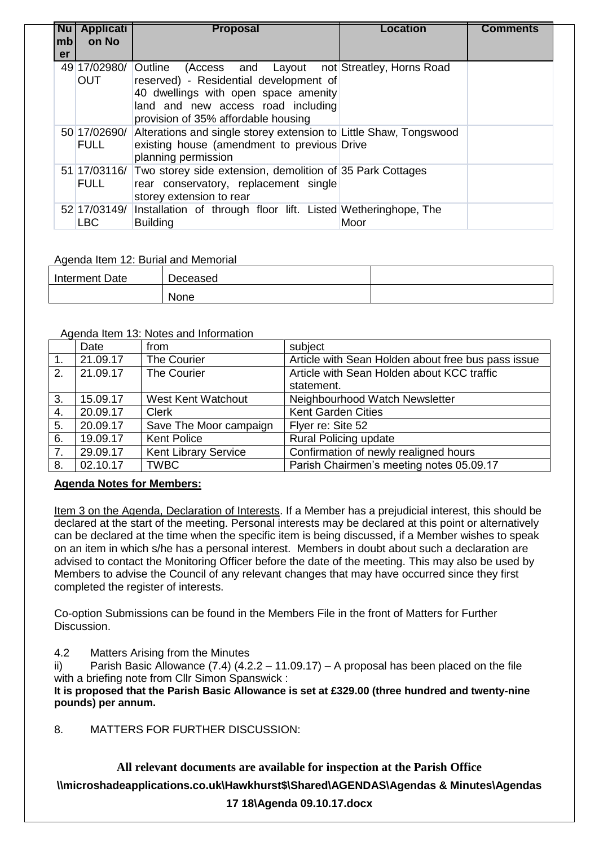| <b>Nu</b><br> mb | <b>Applicati</b><br>on No   | <b>Proposal</b>                                                                                                                                                                                                        | Location | <b>Comments</b> |
|------------------|-----------------------------|------------------------------------------------------------------------------------------------------------------------------------------------------------------------------------------------------------------------|----------|-----------------|
| er               |                             |                                                                                                                                                                                                                        |          |                 |
|                  | 49 17/02980/<br><b>OUT</b>  | Outline<br>(Access and Layout not Streatley, Horns Road<br>reserved) - Residential development of<br>40 dwellings with open space amenity<br>land and new access road including<br>provision of 35% affordable housing |          |                 |
|                  | 50 17/02690/<br><b>FULL</b> | Alterations and single storey extension to Little Shaw, Tongswood<br>existing house (amendment to previous Drive<br>planning permission                                                                                |          |                 |
|                  | <b>FULL</b>                 | 51 17/03116/ Two storey side extension, demolition of 35 Park Cottages<br>rear conservatory, replacement single<br>storey extension to rear                                                                            |          |                 |
|                  | 52 17/03149/<br><b>LBC</b>  | Installation of through floor lift. Listed Wetheringhope, The<br><b>Building</b>                                                                                                                                       | Moor     |                 |

Agenda Item 12: Burial and Memorial

| Interment Date | -<br>Deceased |  |
|----------------|---------------|--|
|                | None          |  |

#### Agenda Item 13: Notes and Information

|    | Date     | from                        | subject                                            |
|----|----------|-----------------------------|----------------------------------------------------|
| 1. | 21.09.17 | The Courier                 | Article with Sean Holden about free bus pass issue |
| 2. | 21.09.17 | The Courier                 | Article with Sean Holden about KCC traffic         |
|    |          |                             | statement.                                         |
| 3. | 15.09.17 | West Kent Watchout          | Neighbourhood Watch Newsletter                     |
| 4. | 20.09.17 | <b>Clerk</b>                | <b>Kent Garden Cities</b>                          |
| 5. | 20.09.17 | Save The Moor campaign      | Flyer re: Site 52                                  |
| 6. | 19.09.17 | <b>Kent Police</b>          | <b>Rural Policing update</b>                       |
| 7. | 29.09.17 | <b>Kent Library Service</b> | Confirmation of newly realigned hours              |
| 8. | 02.10.17 | <b>TWBC</b>                 | Parish Chairmen's meeting notes 05.09.17           |

## **Agenda Notes for Members:**

Item 3 on the Agenda, Declaration of Interests. If a Member has a prejudicial interest, this should be declared at the start of the meeting. Personal interests may be declared at this point or alternatively can be declared at the time when the specific item is being discussed, if a Member wishes to speak on an item in which s/he has a personal interest. Members in doubt about such a declaration are advised to contact the Monitoring Officer before the date of the meeting. This may also be used by Members to advise the Council of any relevant changes that may have occurred since they first completed the register of interests.

Co-option Submissions can be found in the Members File in the front of Matters for Further Discussion.

4.2 Matters Arising from the Minutes

ii) Parish Basic Allowance  $(7.4)$   $(4.2.2 - 11.09.17)$  – A proposal has been placed on the file with a briefing note from Cllr Simon Spanswick :

**It is proposed that the Parish Basic Allowance is set at £329.00 (three hundred and twenty-nine pounds) per annum.**

8. MATTERS FOR FURTHER DISCUSSION: